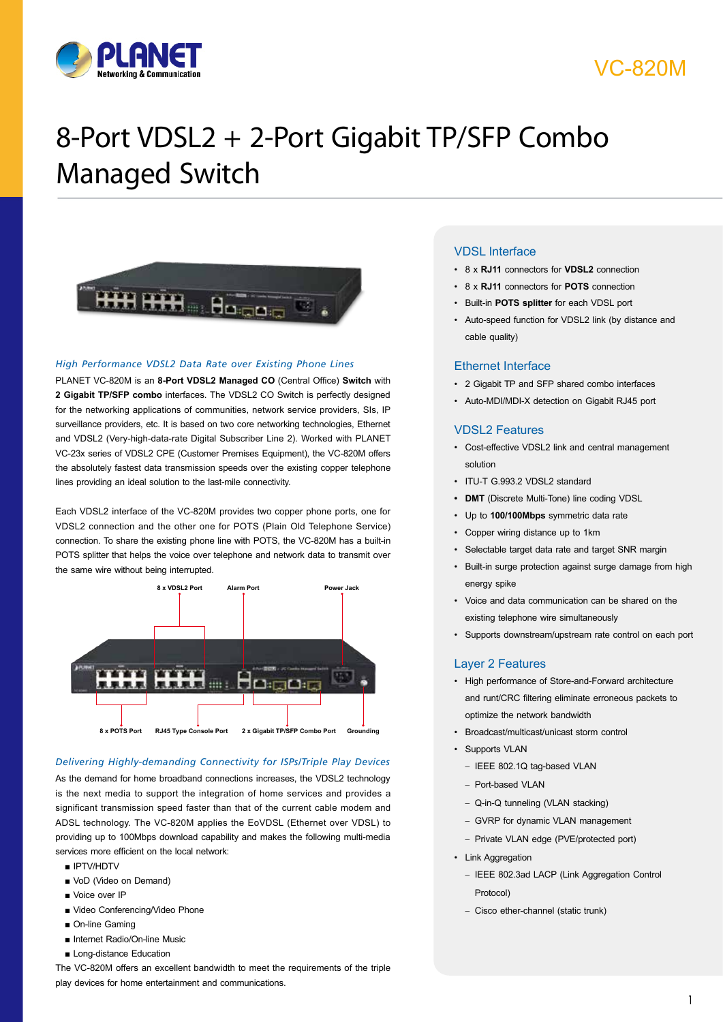

### VC-820M

# 8-Port VDSL2 + 2-Port Gigabit TP/SFP Combo Managed Switch



#### *High Performance VDSL2 Data Rate over Existing Phone Lines*

PLANET VC-820M is an **8-Port VDSL2 Managed CO** (Central Office) **Switch** with **2 Gigabit TP/SFP combo** interfaces. The VDSL2 CO Switch is perfectly designed for the networking applications of communities, network service providers, SIs, IP surveillance providers, etc. It is based on two core networking technologies, Ethernet and VDSL2 (Very-high-data-rate Digital Subscriber Line 2). Worked with PLANET VC-23x series of VDSL2 CPE (Customer Premises Equipment), the VC-820M offers the absolutely fastest data transmission speeds over the existing copper telephone lines providing an ideal solution to the last-mile connectivity.

Each VDSL2 interface of the VC-820M provides two copper phone ports, one for VDSL2 connection and the other one for POTS (Plain Old Telephone Service) connection. To share the existing phone line with POTS, the VC-820M has a built-in POTS splitter that helps the voice over telephone and network data to transmit over the same wire without being interrupted.



#### *Delivering Highly-demanding Connectivity for ISPs/Triple Play Devices*

As the demand for home broadband connections increases, the VDSL2 technology is the next media to support the integration of home services and provides a significant transmission speed faster than that of the current cable modem and ADSL technology. The VC-820M applies the EoVDSL (Ethernet over VDSL) to providing up to 100Mbps download capability and makes the following multi-media services more efficient on the local network:

- IPTV/HDTV
- VoD (Video on Demand)
- Voice over IP
- Video Conferencing/Video Phone
- On-line Gaming
- Internet Radio/On-line Music
- Long-distance Education

The VC-820M offers an excellent bandwidth to meet the requirements of the triple play devices for home entertainment and communications.

#### **Key Strate Features**

- • 8 x **RJ11** connectors for **VDSL2** connection
- • 8 x **RJ11** connectors for **POTS** connection
- • Built-in **POTS splitter** for each VDSL port
- • Auto-speed function for VDSL2 link (by distance and cable quality)

#### Ethernet Interface

- • 2 Gigabit TP and SFP shared combo interfaces
- • Auto-MDI/MDI-X detection on Gigabit RJ45 port

#### VDSL2 Features

- • Cost-effective VDSL2 link and central management solution
- • ITU-T G.993.2 VDSL2 standard
- **• DMT** (Discrete Multi-Tone) line coding VDSL
- • Up to **100/100Mbps** symmetric data rate
- • Copper wiring distance up to 1km
- • Selectable target data rate and target SNR margin
- • Built-in surge protection against surge damage from high energy spike
- • Voice and data communication can be shared on the existing telephone wire simultaneously
- • Supports downstream/upstream rate control on each port

#### Layer 2 Features

- • High performance of Store-and-Forward architecture and runt/CRC filtering eliminate erroneous packets to optimize the network bandwidth
- • Broadcast/multicast/unicast storm control
- Supports VLAN
	- IEEE 802.1Q tag-based VLAN
	- Port-based VLAN
	- Q-in-Q tunneling (VLAN stacking)
	- GVRP for dynamic VLAN management
	- Private VLAN edge (PVE/protected port)
- • Link Aggregation
	- IEEE 802.3ad LACP (Link Aggregation Control Protocol)
- Cisco ether-channel (static trunk)

1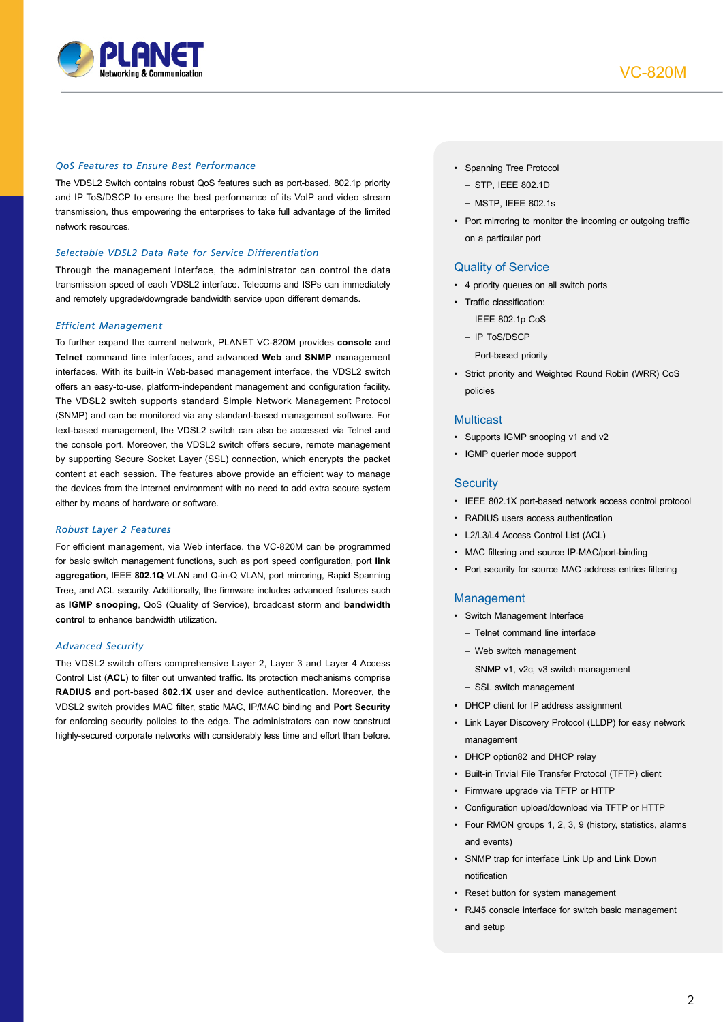

#### *QoS Features to Ensure Best Performance*

The VDSL2 Switch contains robust QoS features such as port-based, 802.1p priority and IP ToS/DSCP to ensure the best performance of its VoIP and video stream transmission, thus empowering the enterprises to take full advantage of the limited network resources.

#### *Selectable VDSL2 Data Rate for Service Differentiation*

Through the management interface, the administrator can control the data transmission speed of each VDSL2 interface. Telecoms and ISPs can immediately and remotely upgrade/downgrade bandwidth service upon different demands.

#### *Efficient Management*

To further expand the current network, PLANET VC-820M provides **console** and **Telnet** command line interfaces, and advanced **Web** and **SNMP** management interfaces. With its built-in Web-based management interface, the VDSL2 switch offers an easy-to-use, platform-independent management and configuration facility. The VDSL2 switch supports standard Simple Network Management Protocol (SNMP) and can be monitored via any standard-based management software. For text-based management, the VDSL2 switch can also be accessed via Telnet and the console port. Moreover, the VDSL2 switch offers secure, remote management by supporting Secure Socket Layer (SSL) connection, which encrypts the packet content at each session. The features above provide an efficient way to manage the devices from the internet environment with no need to add extra secure system either by means of hardware or software.

#### *Robust Layer 2 Features*

For efficient management, via Web interface, the VC-820M can be programmed for basic switch management functions, such as port speed configuration, port **link aggregation**, IEEE **802.1Q** VLAN and Q-in-Q VLAN, port mirroring, Rapid Spanning Tree, and ACL security. Additionally, the firmware includes advanced features such as **IGMP snooping**, QoS (Quality of Service), broadcast storm and **bandwidth control** to enhance bandwidth utilization.

#### *Advanced Security*

The VDSL2 switch offers comprehensive Layer 2, Layer 3 and Layer 4 Access Control List (**ACL**) to filter out unwanted traffic. Its protection mechanisms comprise **RADIUS** and port-based **802.1X** user and device authentication. Moreover, the VDSL2 switch provides MAC filter, static MAC, IP/MAC binding and **Port Security** for enforcing security policies to the edge. The administrators can now construct highly-secured corporate networks with considerably less time and effort than before.

- • Spanning Tree Protocol
	- STP, IEEE 802.1D
	- $-$  MSTP, IFFF 802.1s
- Port mirroring to monitor the incoming or outgoing traffic on a particular port

#### Quality of Service

- • 4 priority queues on all switch ports
- Traffic classification:
	- IEEE 802.1p CoS
	- IP ToS/DSCP
	- Port-based priority
- • Strict priority and Weighted Round Robin (WRR) CoS policies

#### **Multicast**

- Supports IGMP snooping v1 and v2
- • IGMP querier mode support

#### **Security**

- • IEEE 802.1X port-based network access control protocol
- RADIUS users access authentication
- • L2/L3/L4 Access Control List (ACL)
- • MAC filtering and source IP-MAC/port-binding
- • Port security for source MAC address entries filtering

#### Management

- • Switch Management Interface
	- Telnet command line interface
	- Web switch management
	- SNMP v1, v2c, v3 switch management
	- SSL switch management
- • DHCP client for IP address assignment
- • Link Layer Discovery Protocol (LLDP) for easy network management
- DHCP option82 and DHCP relay
- • Built-in Trivial File Transfer Protocol (TFTP) client
- • Firmware upgrade via TFTP or HTTP
- • Configuration upload/download via TFTP or HTTP
- • Four RMON groups 1, 2, 3, 9 (history, statistics, alarms and events)
- • SNMP trap for interface Link Up and Link Down notification
- • Reset button for system management
- • RJ45 console interface for switch basic management and setup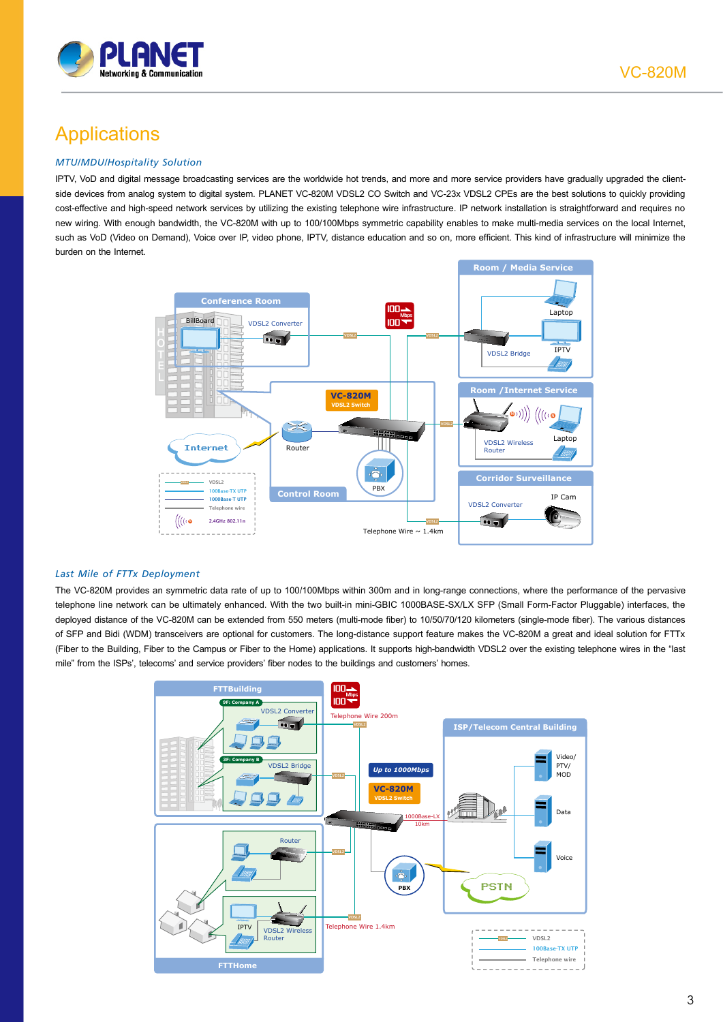

### **Applications**

#### *MTU/MDU/Hospitality Solution*

IPTV, VoD and digital message broadcasting services are the worldwide hot trends, and more and more service providers have gradually upgraded the clientside devices from analog system to digital system. PLANET VC-820M VDSL2 CO Switch and VC-23x VDSL2 CPEs are the best solutions to quickly providing cost-effective and high-speed network services by utilizing the existing telephone wire infrastructure. IP network installation is straightforward and requires no new wiring. With enough bandwidth, the VC-820M with up to 100/100Mbps symmetric capability enables to make multi-media services on the local Internet, such as VoD (Video on Demand), Voice over IP, video phone, IPTV, distance education and so on, more efficient. This kind of infrastructure will minimize the burden on the Internet.



#### *Last Mile of FTTx Deployment*

The VC-820M provides an symmetric data rate of up to 100/100Mbps within 300m and in long-range connections, where the performance of the pervasive telephone line network can be ultimately enhanced. With the two built-in mini-GBIC 1000BASE-SX/LX SFP (Small Form-Factor Pluggable) interfaces, the deployed distance of the VC-820M can be extended from 550 meters (multi-mode fiber) to 10/50/70/120 kilometers (single-mode fiber). The various distances of SFP and Bidi (WDM) transceivers are optional for customers. The long-distance support feature makes the VC-820M a great and ideal solution for FTTx (Fiber to the Building, Fiber to the Campus or Fiber to the Home) applications. It supports high-bandwidth VDSL2 over the existing telephone wires in the "last mile" from the ISPs', telecoms' and service providers' fiber nodes to the buildings and customers' homes.

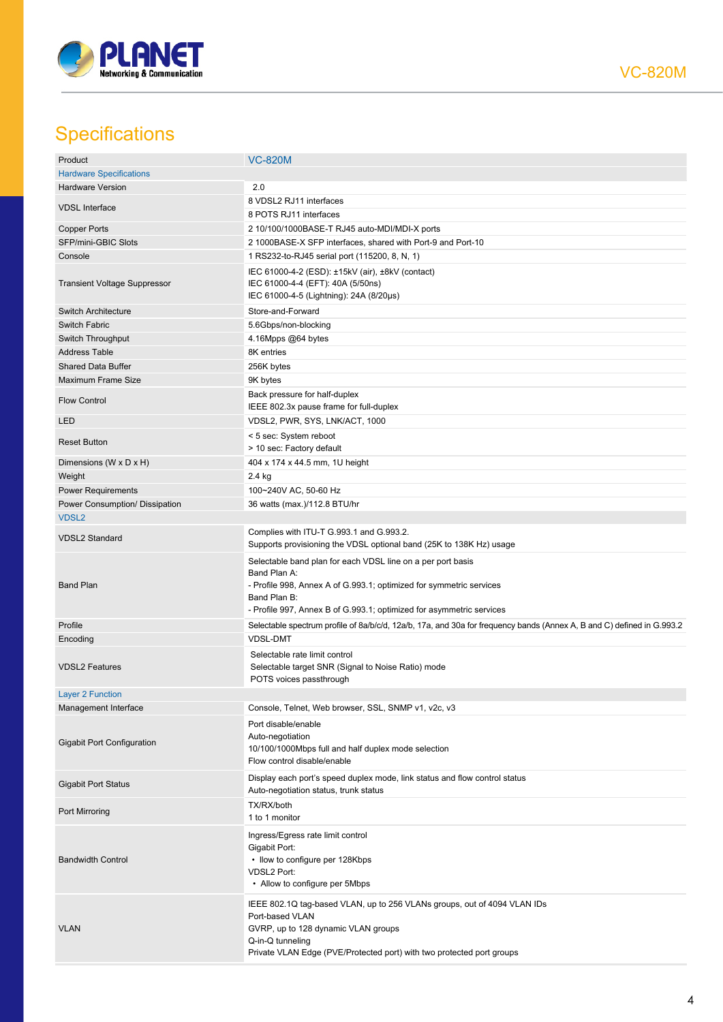

VC-820M

## **Specifications**

| Product                             | <b>VC-820M</b>                                                                                                                                                                                                                             |
|-------------------------------------|--------------------------------------------------------------------------------------------------------------------------------------------------------------------------------------------------------------------------------------------|
| <b>Hardware Specifications</b>      |                                                                                                                                                                                                                                            |
| <b>Hardware Version</b>             | 2.0                                                                                                                                                                                                                                        |
|                                     | 8 VDSL2 RJ11 interfaces                                                                                                                                                                                                                    |
| <b>VDSL Interface</b>               | 8 POTS RJ11 interfaces                                                                                                                                                                                                                     |
| <b>Copper Ports</b>                 | 2 10/100/1000BASE-T RJ45 auto-MDI/MDI-X ports                                                                                                                                                                                              |
| SFP/mini-GBIC Slots                 | 2 1000BASE-X SFP interfaces, shared with Port-9 and Port-10                                                                                                                                                                                |
| Console                             | 1 RS232-to-RJ45 serial port (115200, 8, N, 1)                                                                                                                                                                                              |
|                                     |                                                                                                                                                                                                                                            |
| <b>Transient Voltage Suppressor</b> | IEC 61000-4-2 (ESD): ±15kV (air), ±8kV (contact)<br>IEC 61000-4-4 (EFT): 40A (5/50ns)<br>IEC 61000-4-5 (Lightning): 24A (8/20µs)                                                                                                           |
| <b>Switch Architecture</b>          | Store-and-Forward                                                                                                                                                                                                                          |
| Switch Fabric                       | 5.6Gbps/non-blocking                                                                                                                                                                                                                       |
| Switch Throughput                   | 4.16Mpps @64 bytes                                                                                                                                                                                                                         |
| <b>Address Table</b>                | 8K entries                                                                                                                                                                                                                                 |
| <b>Shared Data Buffer</b>           | 256K bytes                                                                                                                                                                                                                                 |
|                                     |                                                                                                                                                                                                                                            |
| Maximum Frame Size                  | 9K bytes                                                                                                                                                                                                                                   |
| <b>Flow Control</b>                 | Back pressure for half-duplex<br>IEEE 802.3x pause frame for full-duplex                                                                                                                                                                   |
| <b>LED</b>                          | VDSL2, PWR, SYS, LNK/ACT, 1000                                                                                                                                                                                                             |
| <b>Reset Button</b>                 | < 5 sec: System reboot<br>> 10 sec: Factory default                                                                                                                                                                                        |
| Dimensions (W x D x H)              | 404 x 174 x 44.5 mm, 1U height                                                                                                                                                                                                             |
| Weight                              | 2.4 kg                                                                                                                                                                                                                                     |
| <b>Power Requirements</b>           | 100~240V AC, 50-60 Hz                                                                                                                                                                                                                      |
| Power Consumption/ Dissipation      | 36 watts (max.)/112.8 BTU/hr                                                                                                                                                                                                               |
| VDSL <sub>2</sub>                   |                                                                                                                                                                                                                                            |
| <b>VDSL2 Standard</b>               | Complies with ITU-T G.993.1 and G.993.2.<br>Supports provisioning the VDSL optional band (25K to 138K Hz) usage                                                                                                                            |
| <b>Band Plan</b>                    | Selectable band plan for each VDSL line on a per port basis<br>Band Plan A:<br>- Profile 998, Annex A of G.993.1; optimized for symmetric services<br>Band Plan B:<br>- Profile 997, Annex B of G.993.1; optimized for asymmetric services |
| Profile                             | Selectable spectrum profile of 8a/b/c/d, 12a/b, 17a, and 30a for frequency bands (Annex A, B and C) defined in G.993.2                                                                                                                     |
| Encoding                            | <b>VDSL-DMT</b>                                                                                                                                                                                                                            |
| <b>VDSL2 Features</b>               | Selectable rate limit control<br>Selectable target SNR (Signal to Noise Ratio) mode<br>POTS voices passthrough                                                                                                                             |
| <b>Layer 2 Function</b>             |                                                                                                                                                                                                                                            |
| Management Interface                | Console, Telnet, Web browser, SSL, SNMP v1, v2c, v3                                                                                                                                                                                        |
| <b>Gigabit Port Configuration</b>   | Port disable/enable<br>Auto-negotiation<br>10/100/1000Mbps full and half duplex mode selection<br>Flow control disable/enable                                                                                                              |
| <b>Gigabit Port Status</b>          | Display each port's speed duplex mode, link status and flow control status<br>Auto-negotiation status, trunk status                                                                                                                        |
| Port Mirroring                      | TX/RX/both<br>1 to 1 monitor                                                                                                                                                                                                               |
| <b>Bandwidth Control</b>            | Ingress/Egress rate limit control<br>Gigabit Port:<br>• Ilow to configure per 128Kbps<br><b>VDSL2 Port:</b><br>• Allow to configure per 5Mbps                                                                                              |
| <b>VLAN</b>                         | IEEE 802.1Q tag-based VLAN, up to 256 VLANs groups, out of 4094 VLAN IDs<br>Port-based VLAN<br>GVRP, up to 128 dynamic VLAN groups<br>Q-in-Q tunneling<br>Private VLAN Edge (PVE/Protected port) with two protected port groups            |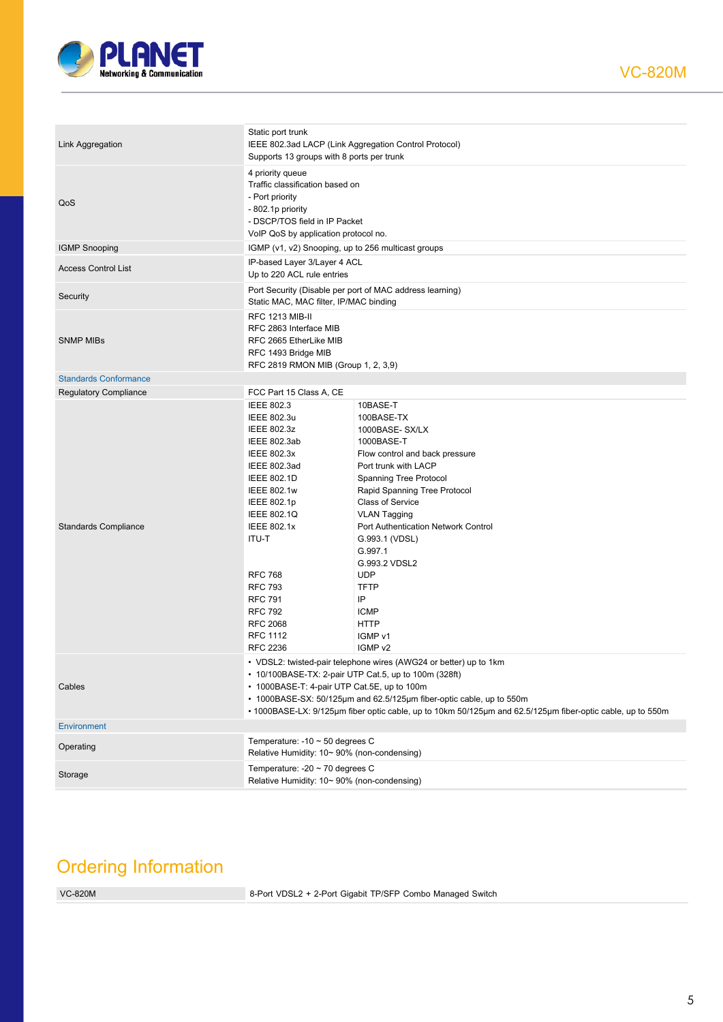

| Link Aggregation             | Static port trunk<br>IEEE 802.3ad LACP (Link Aggregation Control Protocol)<br>Supports 13 groups with 8 ports per trunk                                                                                                                                                                                                                                         |                                                                                                                                                                                                                                                                                                                                                                                                          |  |
|------------------------------|-----------------------------------------------------------------------------------------------------------------------------------------------------------------------------------------------------------------------------------------------------------------------------------------------------------------------------------------------------------------|----------------------------------------------------------------------------------------------------------------------------------------------------------------------------------------------------------------------------------------------------------------------------------------------------------------------------------------------------------------------------------------------------------|--|
| QoS                          | 4 priority queue<br>Traffic classification based on<br>- Port priority<br>- 802.1p priority<br>- DSCP/TOS field in IP Packet<br>VoIP QoS by application protocol no.                                                                                                                                                                                            |                                                                                                                                                                                                                                                                                                                                                                                                          |  |
| <b>IGMP Snooping</b>         | IGMP (v1, v2) Snooping, up to 256 multicast groups                                                                                                                                                                                                                                                                                                              |                                                                                                                                                                                                                                                                                                                                                                                                          |  |
| <b>Access Control List</b>   | IP-based Layer 3/Layer 4 ACL<br>Up to 220 ACL rule entries                                                                                                                                                                                                                                                                                                      |                                                                                                                                                                                                                                                                                                                                                                                                          |  |
| Security                     | Port Security (Disable per port of MAC address learning)<br>Static MAC, MAC filter, IP/MAC binding                                                                                                                                                                                                                                                              |                                                                                                                                                                                                                                                                                                                                                                                                          |  |
| <b>SNMP MIBS</b>             | <b>RFC 1213 MIB-II</b><br>RFC 2863 Interface MIB<br>RFC 2665 EtherLike MIB<br>RFC 1493 Bridge MIB<br>RFC 2819 RMON MIB (Group 1, 2, 3,9)                                                                                                                                                                                                                        |                                                                                                                                                                                                                                                                                                                                                                                                          |  |
| <b>Standards Conformance</b> |                                                                                                                                                                                                                                                                                                                                                                 |                                                                                                                                                                                                                                                                                                                                                                                                          |  |
| <b>Regulatory Compliance</b> | FCC Part 15 Class A, CE                                                                                                                                                                                                                                                                                                                                         |                                                                                                                                                                                                                                                                                                                                                                                                          |  |
| <b>Standards Compliance</b>  | <b>IEEE 802.3</b><br>IEEE 802.3u<br><b>IEEE 802.3z</b><br>IEEE 802.3ab<br><b>IEEE 802.3x</b><br>IEEE 802.3ad<br><b>IEEE 802.1D</b><br><b>IEEE 802.1w</b><br>IEEE 802.1p<br><b>IEEE 802.1Q</b><br><b>IEEE 802.1x</b><br>ITU-T<br><b>RFC 768</b><br><b>RFC 793</b><br><b>RFC 791</b><br><b>RFC 792</b><br><b>RFC 2068</b><br><b>RFC 1112</b><br><b>RFC 2236</b>   | 10BASE-T<br>100BASE-TX<br>1000BASE-SX/LX<br>1000BASE-T<br>Flow control and back pressure<br>Port trunk with LACP<br>Spanning Tree Protocol<br>Rapid Spanning Tree Protocol<br><b>Class of Service</b><br><b>VLAN Tagging</b><br>Port Authentication Network Control<br>G.993.1 (VDSL)<br>G.997.1<br>G.993.2 VDSL2<br><b>UDP</b><br><b>TFTP</b><br>IP<br><b>ICMP</b><br><b>HTTP</b><br>IGMP v1<br>IGMP v2 |  |
| Cables                       | • VDSL2: twisted-pair telephone wires (AWG24 or better) up to 1km<br>• 10/100BASE-TX: 2-pair UTP Cat.5, up to 100m (328ft)<br>• 1000BASE-T: 4-pair UTP Cat.5E, up to 100m<br>• 1000BASE-SX: 50/125µm and 62.5/125µm fiber-optic cable, up to 550m<br>• 1000BASE-LX: 9/125µm fiber optic cable, up to 10km 50/125µm and 62.5/125µm fiber-optic cable, up to 550m |                                                                                                                                                                                                                                                                                                                                                                                                          |  |
| <b>Environment</b>           |                                                                                                                                                                                                                                                                                                                                                                 |                                                                                                                                                                                                                                                                                                                                                                                                          |  |
| Operating                    | Temperature: -10 $\sim$ 50 degrees C<br>Relative Humidity: 10~ 90% (non-condensing)                                                                                                                                                                                                                                                                             |                                                                                                                                                                                                                                                                                                                                                                                                          |  |
| Storage                      | Temperature: $-20 \sim 70$ degrees C<br>Relative Humidity: 10~ 90% (non-condensing)                                                                                                                                                                                                                                                                             |                                                                                                                                                                                                                                                                                                                                                                                                          |  |

### Ordering Information

VC-820M 8-Port VDSL2 + 2-Port Gigabit TP/SFP Combo Managed Switch